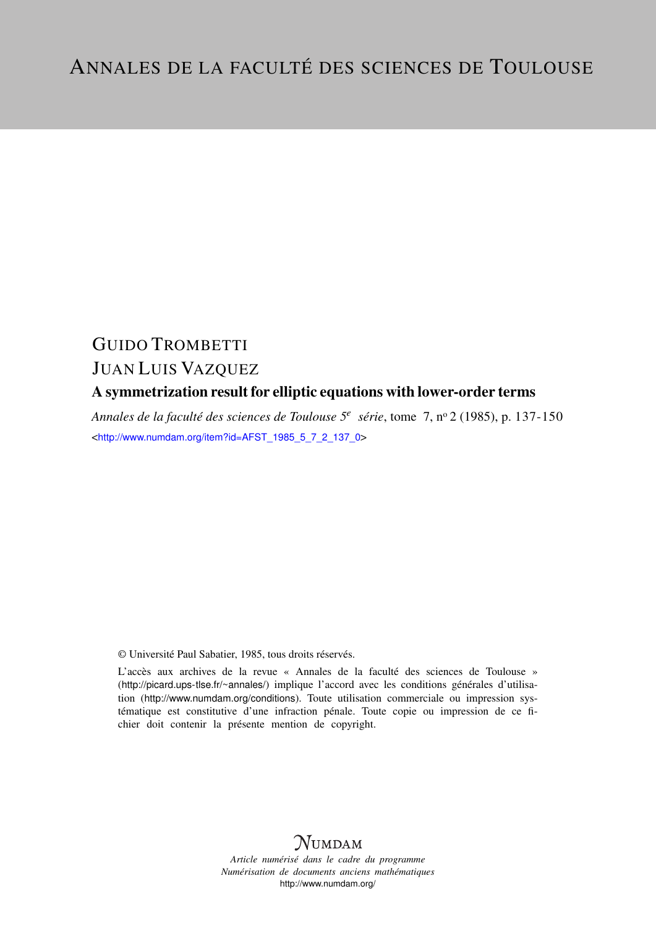# GUIDO TROMBETTI JUAN LUIS VAZQUEZ

## A symmetrization result for elliptic equations with lower-order terms

*Annales de la faculté des sciences de Toulouse 5<sup>e</sup> série*, tome 7, n<sup>o</sup> 2 (1985), p. 137-150 <[http://www.numdam.org/item?id=AFST\\_1985\\_5\\_7\\_2\\_137\\_0](http://www.numdam.org/item?id=AFST_1985_5_7_2_137_0)>

© Université Paul Sabatier, 1985, tous droits réservés.

L'accès aux archives de la revue « Annales de la faculté des sciences de Toulouse » (<http://picard.ups-tlse.fr/~annales/>) implique l'accord avec les conditions générales d'utilisation (<http://www.numdam.org/conditions>). Toute utilisation commerciale ou impression systématique est constitutive d'une infraction pénale. Toute copie ou impression de ce fichier doit contenir la présente mention de copyright.



*Article numérisé dans le cadre du programme Numérisation de documents anciens mathématiques* <http://www.numdam.org/>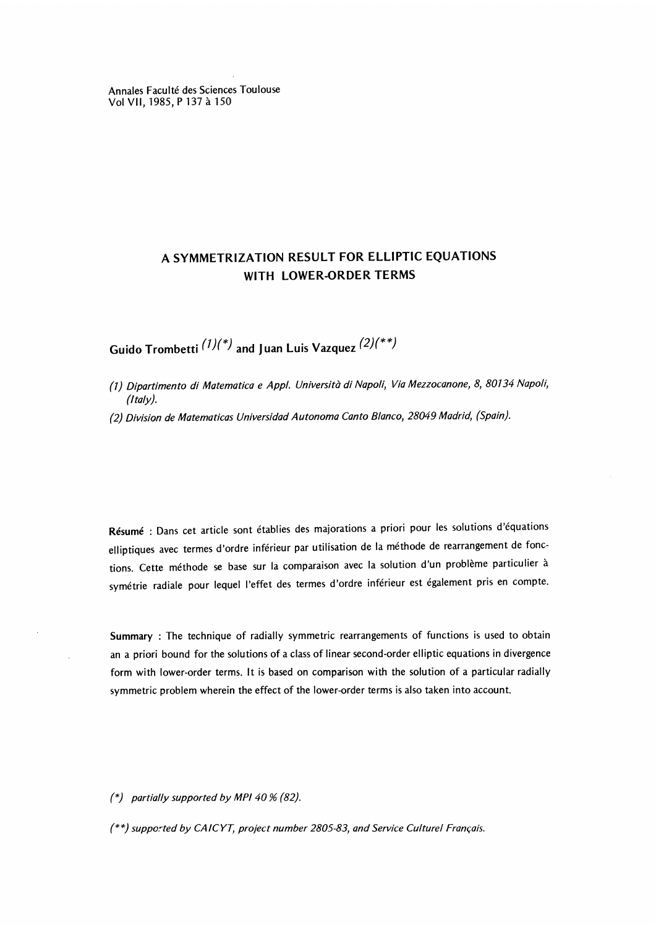Annales Faculté des Sciences Toulouse Vol VII, 1985, P 137 à 150

### A SYMMETRIZATION RESULT FOR ELLIPTIC EQUATIONS WITH LOWER-ORDER TERMS

Guido Trombetti  $(1)(*)$  and Juan Luis Vazquez  $(2)(**)$ 

- (1) Dipartimento di Matematica e Appl. Università di Napoli, Via Mezzocanone, 8, 80134 Napoli,
- (2) Division de Matematicas Universidad Autonoma Canto Blanco, 28049 Madrid, (Spain).

Résumé : Dans cet article sont établies des majorations a priori pour les solutions d'équations elliptiques avec termes d'ordre inférieur par utilisation de la méthode de rearrangement de fonctions. Cette méthode se base sur la comparaison avec la solution d'un problème particulier à symétrie radiale pour lequel I'effet des termes d'ordre inférieur est également pris en compte.

Summary : The technique of radially symmetric rearrangements of functions is used to obtain an a priori bound for the solutions of a class of linear second-order elliptic equations in divergence form with lower-order terms. It is based on comparison with the solution of a particular radially symmetric problem wherein the effect of the lower-order terms is also taken into account.

 $(*)$  partially supported by MPI 40 % (82).

(\*\*) supported by CAICYT, project number 2805-83, and Service Culturel Français.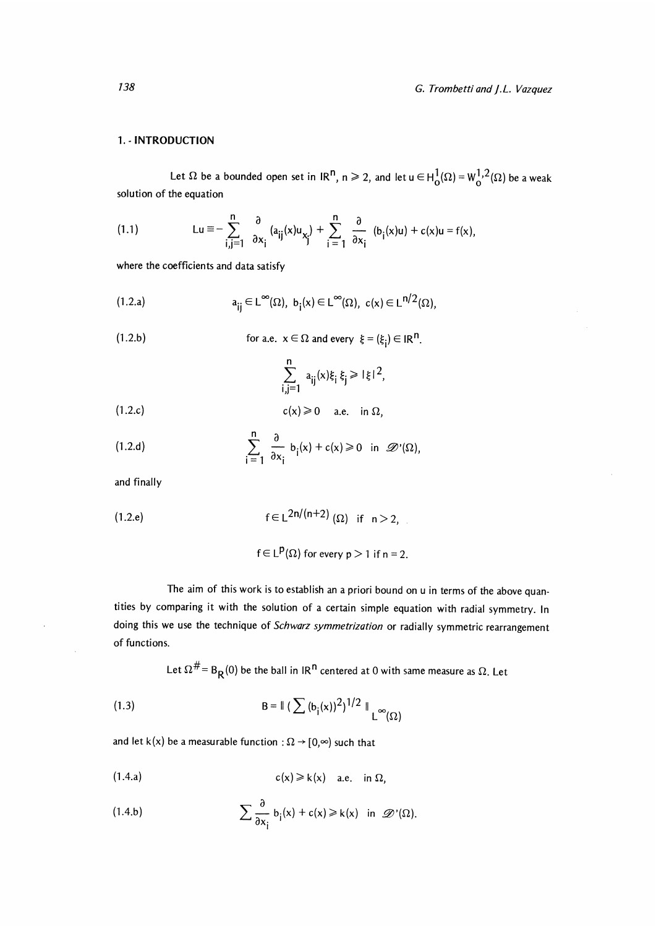### 1. - INTRODUCTION

Let  $\Omega$  be a bounded open set in  $\text{IR}^n$ ,  $n \ge 2$ , and let  $u \in H_0^1(\Omega) = W_0^{1,2}(\Omega)$  be a weak solution of the equation

(1.1) 
$$
\operatorname{Lu} \equiv -\sum_{i,j=1}^n \frac{\partial}{\partial x_i} (a_{ij}(x)u_{x_j}) + \sum_{i=1}^n \frac{\partial}{\partial x_i} (b_i(x)u) + c(x)u = f(x),
$$

where the coefficients and data satisfy

(1.2.a) 
$$
a_{ij} \in L^{\infty}(\Omega), \ b_i(x) \in L^{\infty}(\Omega), \ c(x) \in L^{n/2}(\Omega),
$$

(1.2.b) for a.e. 
$$
x \in \Omega
$$
 and every  $\xi = (\xi_i) \in \mathbb{R}^n$ .

$$
\sum_{i,j=1}^n a_{ij}(x)\xi_i \xi_j \geqslant |\xi|^2,
$$

$$
c(x) \geq 0 \quad \text{a.e. in } \Omega,
$$

(1.2.d) 
$$
\sum_{i=1}^{n} \frac{\partial}{\partial x_i} b_i(x) + c(x) \ge 0 \text{ in } \mathscr{D}'(\Omega),
$$

and finally

$$
\mathsf{f} \in \mathsf{L}^{2\mathsf{n}/(\mathsf{n}+2)}(\Omega) \quad \text{if} \quad \mathsf{n} > 2,
$$

$$
f \in L^p(\Omega)
$$
 for every  $p > 1$  if  $n = 2$ .

The aim of this work is to establish an a priori bound on u in terms of the above quantities by comparing it with the solution of a certain simple equation with radial symmetry. In doing this we use the technique of Schwarz symmetrization or radially symmetric rearrangement of functions.

Let  $\Omega^{\#}$  = B<sub>R</sub>(0) be the ball in IR<sup>n</sup> centered at 0 with same measure as  $\Omega$ . Let

(1.3) 
$$
B = \|\left(\sum (b_i(x))^2\right)^{1/2}\|_{L^{\infty}(\Omega)}
$$

and let k(x) be a measurable function :  $\Omega \rightarrow [0, \infty)$  such that

$$
c(x) \geq k(x) \quad a.e. \quad \text{in } \Omega,
$$

(1.4.b) 
$$
\sum \frac{\partial}{\partial x_i} b_i(x) + c(x) \ge k(x) \text{ in } \mathscr{D}'(\Omega).
$$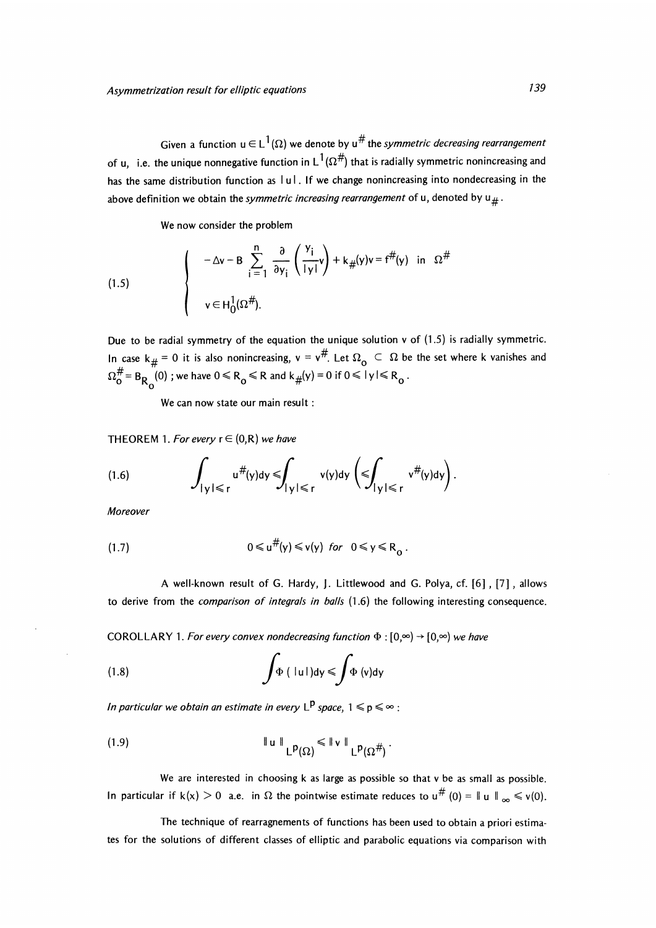Given a function  $u \in L^1(\Omega)$  we denote by  $u^{\#}$  the symmetric decreasing rearrangement of u, i.e. the unique nonnegative function in  $L^1(\Omega^\#)$  that is radially symmetric nonincreasing and has the same distribution function as  $|u|$ . If we change nonincreasing into nondecreasing in the above definition we obtain the symmetric increasing rearrangement of u, denoted by  $u_{\#}$ .

We now consider the problem

(1.5) 
$$
\begin{cases}\n-\Delta v - B \sum_{i=1}^{n} \frac{\partial}{\partial y_{i}} \left( \frac{y_{i}}{|y|} v \right) + k_{\#}(y) v = f^{\#}(y) \text{ in } \Omega^{\#} \\
v \in H_{0}^{1}(\Omega^{\#}).\n\end{cases}
$$

Due to be radial symmetry of the equation the unique solution v of (1.5) is radially symmetric. In case k  $#$  = 0 it is also nonincreasing,  $v = v^{\#}$ . Let  $\Omega_{\text{o}} \subset \Omega$  be the set where k vanishes and  $\mathbb{R}^{\mathsf{D}}$ 

We can now state our main result :

THEOREM 1. For every  $r \in (0, R)$  we have

(1.6) 
$$
\int_{|y| \leq r} u^{\#}(y) dy \leq \int_{|y| \leq r} v(y) dy \left( \leq \int_{|y| \leq r} v^{\#}(y) dy \right).
$$

Moreover

$$
(1.7) \t0 \le u^{\#}(y) \le v(y) \tfor \t0 \le y \le R_0
$$

A well-known result of G. Hardy, J. Littlewood and G. Polya, cf. [6] , [7] , allows to derive from the comparison of integrals in balls  $(1.6)$  the following interesting consequence.

COROLLARY 1. For every convex nondecreasing function  $\Phi : [0, \infty) \rightarrow [0, \infty)$  we have

(1.8) 
$$
\int \Phi \left( \left| u \right| \right) dy \leqslant \int \Phi \left( v \right) dy
$$

In particular we obtain an estimate in every  $L^p$  space,  $1 \leq p \leq \infty$ :

(1.9) 
$$
\|\mathbf{u}\|_{\mathsf{L}^{p}(\Omega)} \leqslant \|\mathbf{v}\|_{\mathsf{L}^{p}(\Omega^{\#})}.
$$

We are interested in choosing k as large as possible so that v be as small as possible. In particular if  $k(x) > 0$  a.e. in  $\Omega$  the pointwise estimate reduces to  $u^{\#}(0) = ||u||_{\infty} \le v(0)$ .

The technique of rearragnements of functions has been used to obtain a priori estimates for the solutions of different classes of elliptic and parabolic equations via comparison with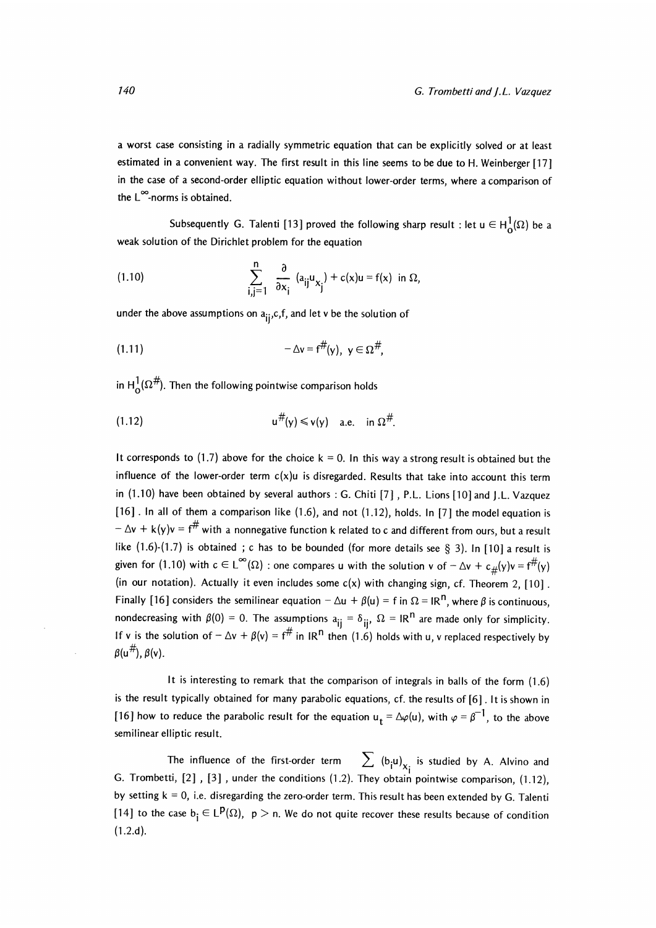a worst case consisting in a radially symmetric equation that can be explicitly solved or at least estimated in a convenient way. The first result in this line seems to be due to H. Weinberger [17] in the case of a second-order elliptic equation without lower-order terms, where a comparison of the L°°-norms is obtained.

Subsequently G. Talenti [13] proved the following sharp result : let  $u \in H^1_0(\Omega)$  be a weak solution of the Dirichlet problem for the equation

(1.10) 
$$
\sum_{i,j=1}^{n} \frac{\partial}{\partial x_i} (a_{ij} u_{x_j}) + c(x) u = f(x) \text{ in } \Omega,
$$

under the above assumptions on  $a_{ij}, c, f$ , and let v be the solution of

$$
(1.11) \qquad \qquad -\Delta v=f^{\#}(y), \ \ y\in\Omega^{\#},
$$

in  $H_0^1(\Omega^\#)$ . Then the following pointwise comparison holds

$$
(1.12) \t\t\t u^{\#}(y) \leqslant v(y) \quad \text{a.e. in } \Omega^{\#}.
$$

It corresponds to (1.7) above for the choice  $k = 0$ . In this way a strong result is obtained but the influence of the lower-order term  $c(x)u$  is disregarded. Results that take into account this term in (1.10) have been obtained by several authors : G. Chiti [7] , P.L. Lions [10] and J.L. Vazquez [16]. In all of them a comparison like (1.6), and not (1.12), holds. In [7] the model equation is  $-\Delta v + k(y)v = f^{\#}$  with a nonnegative function k related to c and different from ours, but a result like  $(1.6)-(1.7)$  is obtained; c has to be bounded (for more details see § 3). In [10] a result is given for (1.10) with  $c \in L^{\infty}(\Omega)$  : one compares u with the solution v of  $-\Delta v + c_{\#}(y)v = f^{\#}(y)$ (in our notation). Actually it even includes some  $c(x)$  with changing sign, cf. Theorem 2, [10]. Finally [16] considers the semilinear equation  $-\Delta u + \beta(u) = f$  in  $\Omega = IR^{n}$ , where  $\beta$  is continuous, nondecreasing with  $\beta(0) = 0$ . The assumptions  $a_{ij} = \delta_{ij}$ ,  $\Omega = IR^{n}$  are made only for simplicity. If v is the solution of  $-\Delta v + \beta(v) = f^{\#}$  in IR<sup>n</sup> then (1.6) holds with u, v replaced respectively by  $\beta(u^{\#})$ ,  $\beta(v)$ .

It is interesting to remark that the comparison of integrals in balls of the form (1.6) is the result typically obtained for many parabolic equations, cf. the results of [6]. It is shown in [16] how to reduce the parabolic result for the equation  $u_t = \Delta \varphi(u)$ , with  $\varphi = \beta^{-1}$ , to the above semilinear elliptic result.

The influence of the first-order term  $\sum (b_i u)_{x_i}$  is studied by A. Alvino and G. Trombetti, [2] , [3] , under the conditions (1.2). They obtain pointwise comparison, (1.12), by setting  $k = 0$ , i.e. disregarding the zero-order term. This result has been extended by G. Talenti [14] to the case  $b_i \in L^p(\Omega)$ ,  $p > n$ . We do not quite recover these results because of condition (1.2.d).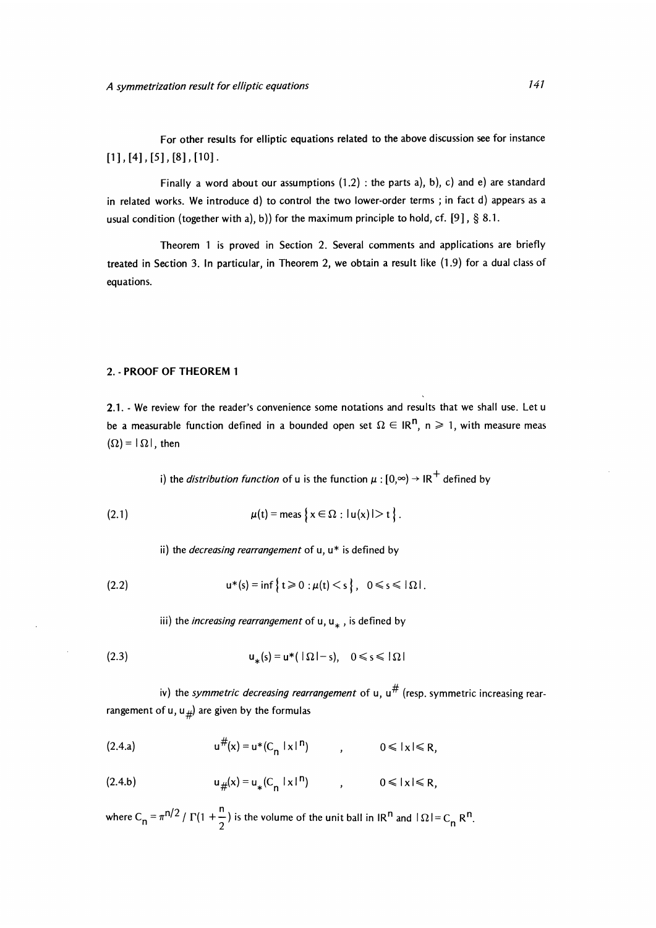For other results for elliptic equations related to the above discussion see for instance  $[1]$ ,  $[4]$ ,  $[5]$ ,  $[8]$ ,  $[10]$ .

Finally a word about our assumptions  $(1.2)$ : the parts a), b), c) and e) are standard in related works. We introduce d) to control the two lower-order terms ; in fact d) appears as a usual condition (together with a), b)) for the maximum principle to hold, cf. [9],  $\S$  8.1.

Theorem 1 is proved in Section 2. Several comments and applications are briefly treated in Section 3. In particular, in Theorem 2, we obtain a result like (1.9) for a dual class of equations.

#### 2. PROOF OF THEOREM 1

2.1. - We review for the reader's convenience some notations and results that we shall use. Let u be a measurable function defined in a bounded open set  $\Omega \in \mathbb{R}^n$ , n  $\geq 1$ , with measure meas  $(\Omega) = |\Omega|$ , then

i) the *distribution function* of u is the function  $\mu$  :  $[0, \infty) \rightarrow IR^+$  defined by

(2.1) 
$$
\mu(t) = \text{meas } \{x \in \Omega : |u(x)| > t \}.
$$

ii) the *decreasing rearrangement* of  $u, u^*$  is defined by

$$
(2.2) \t\t\t u^*(s) = \inf \{ t \geq 0 : \mu(t) < s \}, \quad 0 \leq s \leq |\Omega|.
$$

iii) the *increasing rearrangement* of u,  $u_*$ , is defined by

$$
\mathsf{u}_*(s) = \mathsf{u}^*(\mathsf{I}\,\Omega\mathsf{I} - s), \quad 0 \le s \le \mathsf{I}\,\Omega\mathsf{I}
$$

iv) the symmetric decreasing rearrangement of u,  $u^{\#}$  (resp. symmetric increasing rearrangement of u, u<sub>#</sub>) are given by the formulas

(2.4.a) 
$$
u^{\#}(x) = u^*(C_n |x|^n)
$$
,  $0 \le |x| \le R$ ,

(2.4.b) 
$$
u_{\#}(x) = u_{*}(C_{n} |x|^{n})
$$
,  $0 \le |x| \le R$ ,

where C<sub>n</sub> =  $\pi^{n/2}$  /  $\Gamma(1 + \frac{n}{2})$  is the volume of the unit ball in IR<sup>n</sup> and  $|\Omega| = C_n$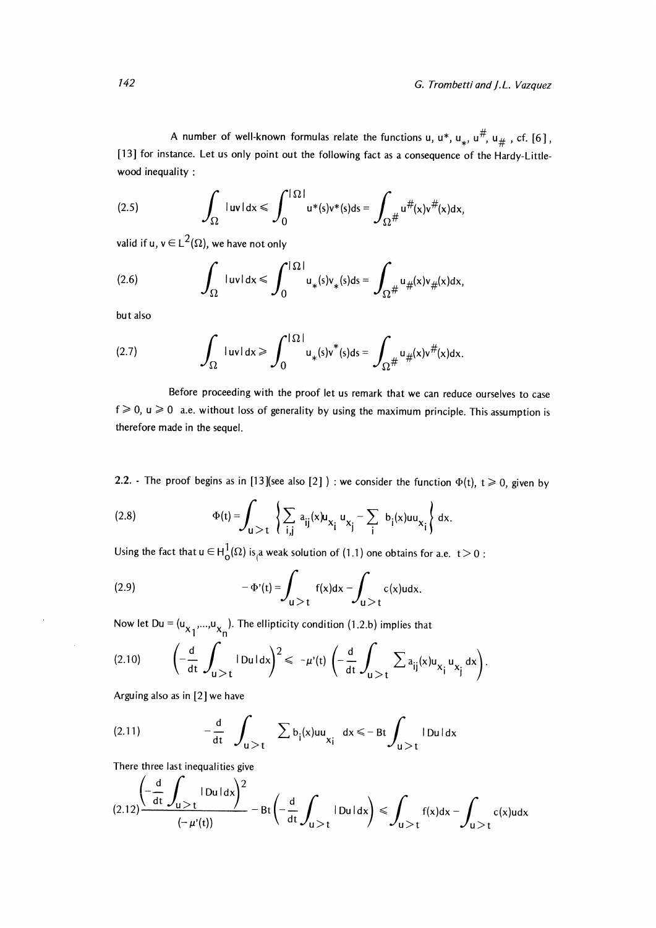A number of well-known formulas relate the functions u,  $u^*$ ,  $u_*$ ,  $u^{\#}$ ,  $u_{\#}$ , cf. [6], [13] for instance. Let us only point out the following fact as a consequence of the Hardy-Littlewood inequality :

(2.5) 
$$
\int_{\Omega} |uv| dx \leqslant \int_{0}^{|\Omega|} u^{*}(s)v^{*}(s)ds = \int_{\Omega^{\#}} u^{\#}(x)v^{\#}(x)dx
$$

valid if u,  $v \in L^2(\Omega)$ , we have not only

(2.6) 
$$
\int_{\Omega} |uv| dx \leqslant \int_{0}^{|\Omega|} u_{*}(s)v_{*}(s) ds = \int_{\Omega^{\#}} u_{\#}(x)v_{\#}(x) dx,
$$

but also

(2.7) 
$$
\int_{\Omega} |uv| dx \geqslant \int_{0}^{|\Omega|} u_{*}(s) v^{*}(s) ds = \int_{\Omega^{\#}} u_{\#}(x) v^{\#}(x) dx.
$$

Before proceeding with the proof let us remark that we can reduce ourselves to case  $f \ge 0$ ,  $u \ge 0$  a.e. without loss of generality by using the maximum principle. This assumption is therefore made in the sequel.

2.2. - The proof begins as in [13] (see also [2]) : we consider the function  $\Phi(t)$ ,  $t \ge 0$ , given by

(2.8) 
$$
\Phi(t) = \int_{u > t} \left\{ \sum_{i,j} a_{ij}(x) u_{x_i} u_{x_j} - \sum_i b_i(x) u_{x_i} \right\} dx
$$

Using the fact that  $u \in H_0^1(\Omega)$  is a weak solution of (1.1) one obtains for a.e.  $t > 0$ :

(2.9) 
$$
-\Phi'(t) = \int_{u>t} f(x)dx - \int_{u>t} c(x)u dx.
$$

Now let  $Du = (u_{x_1},...,u_{x_n})$ . The ellipticity condition (1.2.b) implies that

$$
(2.10) \qquad \left(-\frac{d}{dt}\int_{u>t}|\text{Dul}\,dx\right)^2\leq -\mu'(t)\left(-\frac{d}{dt}\int_{u>t}\sum a_{ij}(x)u_{x_j}u_{x_j}\,dx\right).
$$

Arguing also as in [2] we have

(2.11) 
$$
-\frac{d}{dt} \int_{u>t} \sum b_i(x)uu_{xi} dx \leq -Bt \int_{u>t} |Du| dx
$$

There three last inequalities give

$$
(2.12)\frac{\left(-\frac{d}{dt}\int_{u>t}|Du|dx\right)^2}{\left(-\mu'(t)\right)}-Bt\left(-\frac{d}{dt}\int_{u>t}|Du|dx\right)\leqslant \int_{u>t}f(x)dx-\int_{u>t}c(x)udx
$$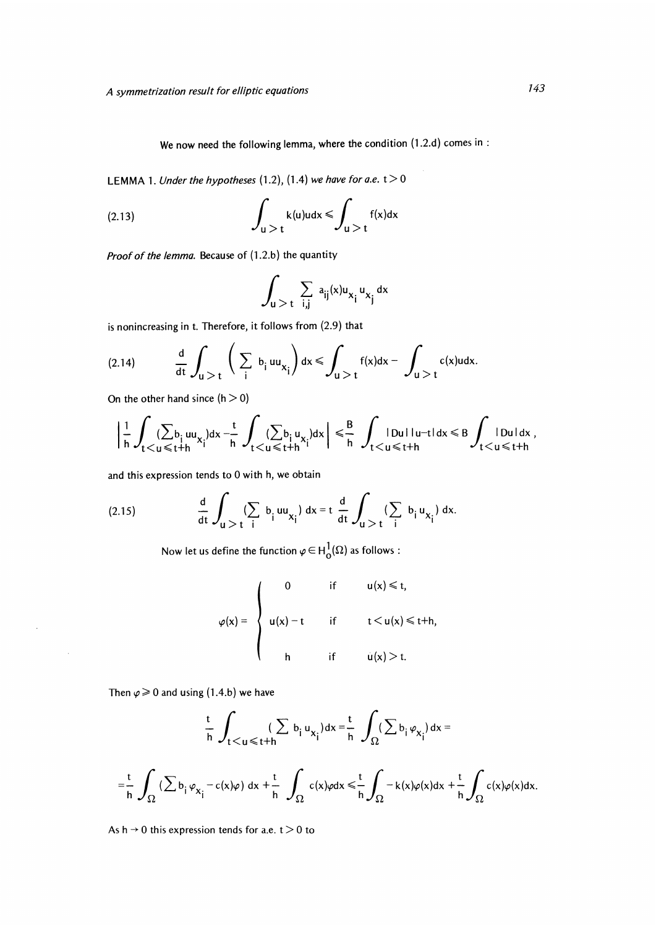We now need the following lemma, where the condition (1.2.d) comes in :

LEMMA 1. Under the hypotheses  $(1.2)$ ,  $(1.4)$  we have for a.e.  $t > 0$ 

(2.13) 
$$
\int_{u>t} k(u)u dx \leqslant \int_{u>t} f(x)dx
$$

Proof of the lemma. Because of (1.2.b) the quantity

$$
\int_{u>t} \sum_{i,j} a_{ij}(x) u_{x_j} u_{x_j} dx
$$

is nonincreasing in t. Therefore, it follows from (2.9) that

$$
(2.14) \t\t \t\t \frac{d}{dt}\int_{u>t}\left(\sum_{i}b_{i}uu_{x_{i}}\right)dx \leqslant \int_{u>t}f(x)dx-\int_{u>t}c(x)udx.
$$

On the other hand since  $(h > 0)$ 

$$
\Big|\frac{1}{h}\int_{t< u\leqslant t+h}(\sum_{i\leqslant t+h}u_{x_i})dx-\frac{t}{h}\int_{t< u\leqslant t+h}(\sum_{i\leqslant t+h}u_{x_i})dx\Big|\leqslant \frac{B}{h}\int_{t< u\leqslant t+h} |Du1|u-t|dx\leqslant B\int_{t< u\leqslant t+h} |Du1|dx\,,
$$

and this expression tends to 0 with h, we obtain

(2.15) 
$$
\frac{d}{dt} \int_{u > t} (\sum_{i} b_{i} uu_{x_{i}}) dx = t \frac{d}{dt} \int_{u > t} (\sum_{i} b_{i} u_{x_{i}}) dx.
$$

Now let us define the function  $\varphi \in H^1_0(\Omega)$  as follows :

$$
\varphi(x) = \begin{cases}\n0 & \text{if } u(x) \leq t, \\
u(x) - t & \text{if } t < u(x) \leq t+h, \\
h & \text{if } u(x) > t.\n\end{cases}
$$

Then  $\varphi \ge 0$  and using (1.4.b) we have

 $\bar{z}$ 

 $\sim$ 

$$
\frac{t}{h} \int_{t < u \leqslant t+h} (\sum b_i u_{x_i}) dx = \frac{t}{h} \int_{\Omega} (\sum b_i \varphi_{x_i}) dx =
$$
\n
$$
= \frac{t}{h} \int_{\Omega} (\sum b_i \varphi_{x_i} - c(x)\varphi) dx + \frac{t}{h} \int_{\Omega} c(x)\varphi dx \leqslant \frac{t}{h} \int_{\Omega} -k(x)\varphi(x) dx + \frac{t}{h} \int_{\Omega} c(x)\varphi(x) dx.
$$

As  $h \rightarrow 0$  this expression tends for a.e.  $t > 0$  to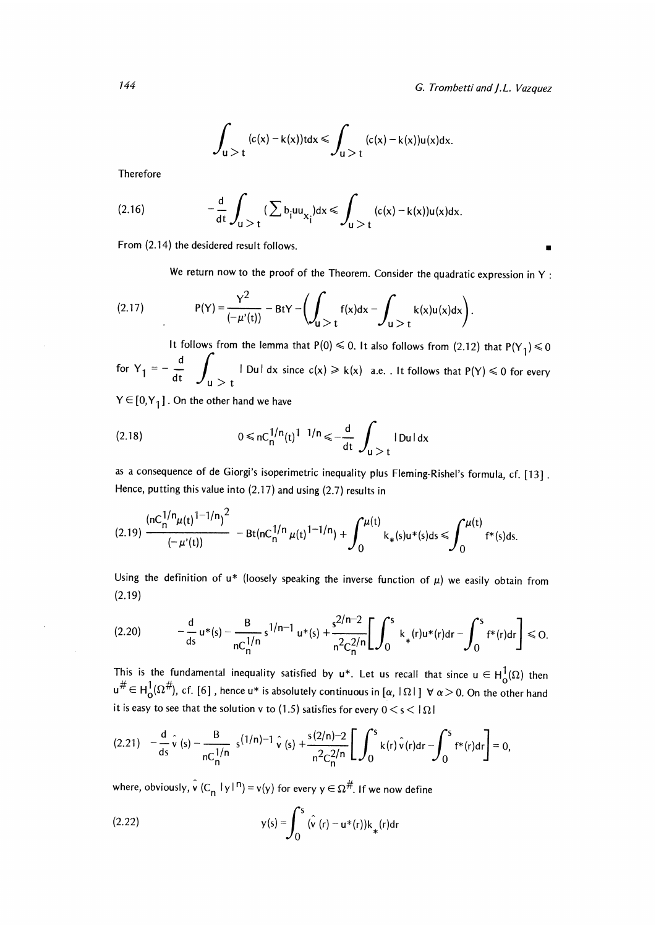$$
\int_{u>t}^{\cdot}(c(x)-k(x))tdx \leqslant \int_{u>t}^{\cdot}(c(x)-k(x))u(x)dx.
$$

Therefore

(2.16) 
$$
-\frac{d}{dt} \int_{u>t} (\sum b_i uu_{x_i})dx \le \int_{u>t} (c(x)-k(x))u(x)dx.
$$
  
From (2.14) the desired result follows.

We return now to the proof of the Theorem. Consider the quadratic expression in Y :

(2.17) 
$$
P(Y) = \frac{Y^2}{(-\mu'(t))} - BtY - \left(\int_{u > t} f(x)dx - \int_{u > t} k(x)u(x)dx\right)
$$

It follows from the lemma that P(0)  $\leq 0$ . It also follows from (2.12) that P(Y<sub>1</sub>)  $\leq 0$ for  $Y_1 = -\frac{d}{dt} \int_0^t |Du| dx$  since  $c(x) \ge k(x)$  a.e. . It follows that  $P(Y) \le 0$  for every

 $Y \in [0, Y<sub>1</sub>]$ . On the other hand we have

(2.18) 
$$
0 \le nC_0^{1/n}(t)^{1-1/n} \le -\frac{d}{dt} \int_{u>t}^{\infty} |Du| dx
$$

as a consequence of de Giorgi's isoperimetric inequality plus Fleming-Rishel's formula, cf. [13] . Hence, putting this value into (2.17) and using (2.7) results in

$$
(2.19) \frac{\left(\mathrm{nc}_{n}^{1/n}\mu(t)^{1-1/n}\right)^{2}}{(-\mu'(t))} - \mathrm{Bt}(n\mathrm{c}_{n}^{1/n}\mu(t)^{1-1/n}) + \int_{0}^{\mu(t)} k_{*}(s)u^{*}(s)ds \leq \int_{0}^{\mu(t)} f^{*}(s)ds.
$$

Using the definition of  $u^*$  (loosely speaking the inverse function of  $\mu$ ) we easily obtain from (2.19)

$$
(2.20) \qquad \qquad -\frac{d}{ds}u^*(s) - \frac{B}{nC_0^{\frac{1}{n}}}\left[s^{1/n-1}u^*(s) + \frac{s^{2/n-2}}{n^2C_0^{2/n}}\left[\int_0^s k_*(r)u^*(r)dr - \int_0^s f^*(r)dr\right] \leq 0.
$$

This is the fundamental inequality satisfied by  $u^*$ . Let us recall that since  $u \in H_0^1(\Omega)$  then  $u^{\#} \in H_0^1(\Omega^{\#})$ , cf. [6], hence  $u^*$  is absolutely continuous in  $[\alpha, |\Omega|] \forall \alpha > 0$ . On the other hand it is easy to see that the solution v to (1.5) satisfies for every  $0 < s < | \Omega |$ 

$$
(2.21) \quad -\frac{d}{ds}\,\hat{v}\,(s) - \frac{B}{nC_0^{1/n}}\,s^{(1/n)-1}\,\hat{v}\,(s) + \frac{s(2/n)-2}{n^2C_0^{2/n}}\bigg[\int_0^s k(r)\,\hat{v}(r)dr - \int_0^s f^*(r)dr\bigg] = 0,
$$

where, obviously,  $\hat{v}$  (C<sub>n</sub> |y|<sup>n</sup>) = v(y) for every  $y \in \Omega^{\#}$ . If we now define

(2.22) 
$$
y(s) = \int_0^s (\hat{v}(r) - u^*(r))k_*(r)dr
$$

144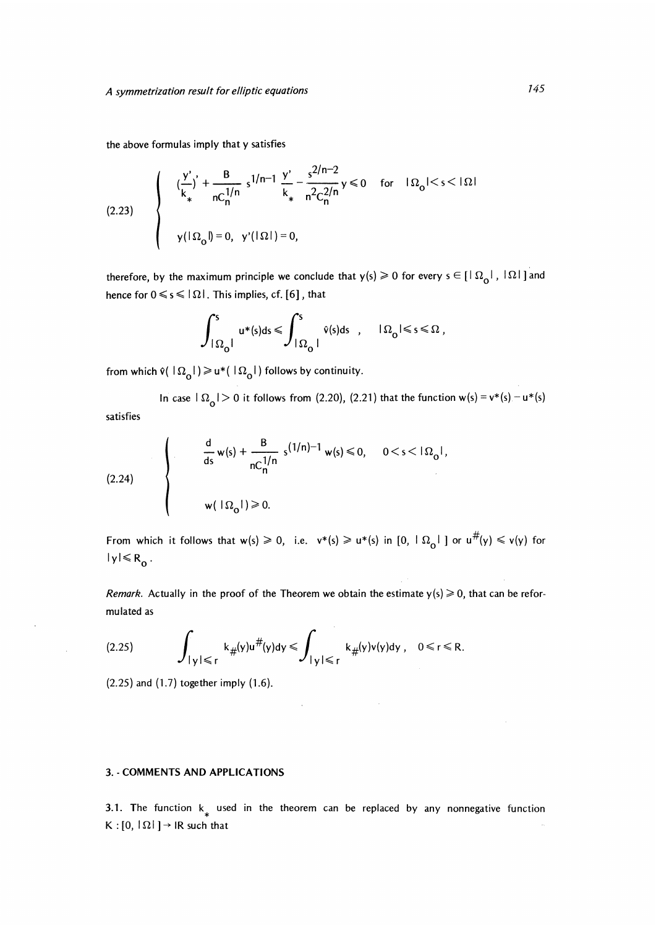the above formulas imply that y satisfies

(2.23) 
$$
\begin{cases} \left(\frac{y'}{k}\right)^{7} + \frac{B}{nC_{n}^{1/n}} s^{1/n-1} \frac{y'}{k_{*}} - \frac{s^{2/n-2}}{n^{2}C_{n}^{2/n}} y \le 0 & \text{for} \quad |\Omega_{0}| < s < |\Omega| \\ y(|\Omega_{0}|) = 0, \quad y'(|\Omega|) = 0, \end{cases}
$$

therefore, by the maximum principle we conclude that  $y(s) \ge 0$  for every  $s \in [\lceil \Omega_0 \rceil, \lceil \Omega \rceil]$  and hence for  $0 \le s \le |\Omega|$ . This implies, cf. [6], that

$$
\int_{|\Omega_0|}^s u^*(s)\mathrm{d} s \leqslant \int_{|\Omega_0|}^s \hat{v}(s)\mathrm{d} s \quad , \quad |\Omega_0| \leqslant s \leqslant \Omega \ ,
$$

from which  $\hat{v}(\ |\Omega_0|) \geq u^*(\ |\Omega_0|)$  follows by continuity.

In case  $\vert \Omega_0 \vert > 0$  it follows from (2.20), (2.21) that the function w(s) = v\*(s) - u\*(s) satisfies

$$
(2.24)
$$
\n
$$
\frac{d}{ds} w(s) + \frac{B}{nC_0^{1/n}} s^{(1/n)-1} w(s) \le 0, \quad 0 < s < |\Omega_0|,
$$
\n
$$
w(|\Omega_0|) \ge 0.
$$

From which it follows that  $w(s) \ge 0$ , i.e.  $v*(s) \ge u*(s)$  in  $[0, \lfloor \Omega_0 \rfloor]$  or  $u^{\#}(y) \le v(y)$  for  $|y| \le R_0$ .

Remark. Actually in the proof of the Theorem we obtain the estimate  $y(s) \ge 0$ , that can be reformu lated as

 $\sim$ 

$$
(2.25) \qquad \int_{|y| \leq r} k_{\#}(y) u^{\#}(y) dy \leqslant \int_{|y| \leqslant r} k_{\#}(y) v(y) dy \ , \quad 0 \leqslant r \leqslant R.
$$

(2.25) and (1.7) together imply (1.6).

 $\bar{z}$ 

#### 3. COMMENTS AND APPLICATIONS

3.1. The function  $k_{\ast}$  used in the theorem can be replaced by any nonnegative function  $K : [0, |\Omega|] \rightarrow IR$  such that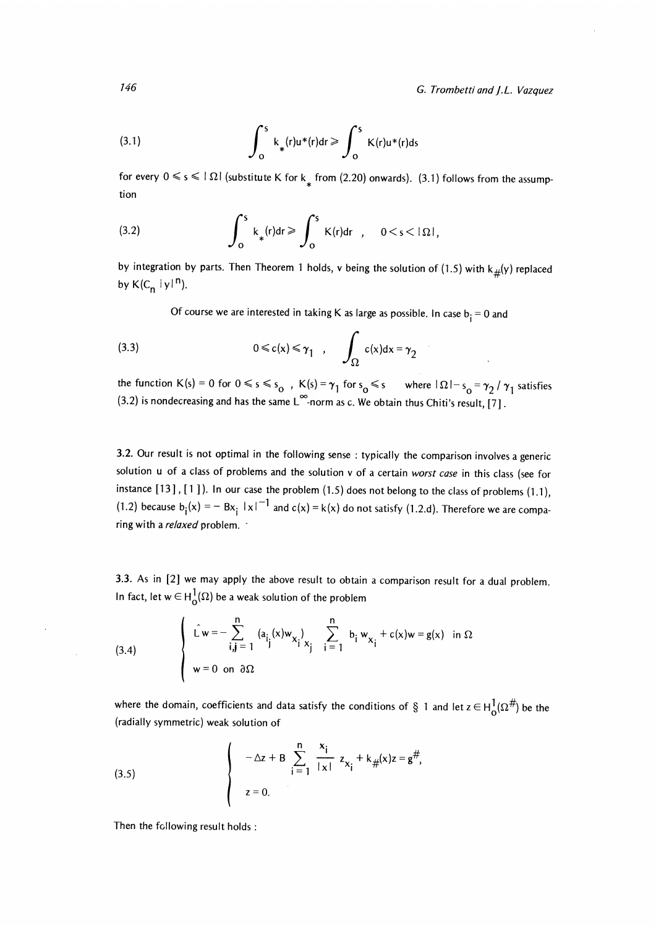G. Trombetti and J.L. Vazquez

(3.1) 
$$
\int_0^s k_*(r)u^*(r)dr \geqslant \int_0^s K(r)u^*(r)ds
$$

for every  $0 \le s \le |\Omega|$  (substitute K for k<sub>\*</sub> from (2.20) onwards). (3.1) follows from the assumption

(3.2) 
$$
\int_0^S k_*(r)dr \geqslant \int_0^S K(r)dr , \quad 0 < s < |\Omega|,
$$

by integration by parts. Then Theorem 1 holds, v being the solution of (1.5) with  $k_{\#}(y)$  replaced by  $K(C_n |y|^n)$ .

Of course we are interested in taking K as large as possible. In case  $b_i = 0$  and

(3.3) 
$$
0 \le c(x) \le \gamma_1 , \quad \int_{\Omega} c(x) dx = \gamma_2
$$

the function K(s) = 0 for  $0 \le s \le s_0$ ,  $K(s) = \gamma_1$  for  $s_0 \le s$  where  $|\Omega| - s_0 = \gamma_2 / \gamma_1$  satisfies (3.2) is nondecreasing and has the same  $L^{\infty}$ -norm as c. We obtain thus Chiti's result, [7].

3.2. Our result is not optimal in the following sense : typically the comparison involves a generic solution u of a class of problems and the solution v of a certain worst case in this class (see for instance  $[13]$ ,  $[1]$ ). In our case the problem  $(1.5)$  does not belong to the class of problems  $(1.1)$ , (1.2) because  $b_i(x) = -Bx_i |x|^{-1}$  and  $c(x) = k(x)$  do not satisfy (1.2.d). Therefore we are comparing with a relaxed problem. '

3.3. As in [2] we may apply the above result to obtain a comparison result for a dual problem. In fact, let  $w \in H^1_\Omega(\Omega)$  be a weak solution of the problem

(3.4) 
$$
\hat{L} w = - \sum_{i,j=1}^{n} (a_{i,j}(x) w_{x_{i}}) \sum_{i=1}^{n} b_{i} w_{x_{i}} + c(x) w = g(x) \text{ in } \Omega
$$
  
\n $w = 0 \text{ on } \partial \Omega$ 

where the domain, coefficients and data satisfy the conditions of § 1 and let  $z \in H_0^1(\Omega^{\#})$  be the (radially symmetric) weak solution of

(3.5) 
$$
\begin{cases}\n-\Delta z + B \sum_{i=1}^{n} \frac{x_i}{|x|} z_{x_i} + k_{\#}(x)z = g^{\#}, \\
z = 0.\n\end{cases}
$$

Then the following result holds :

146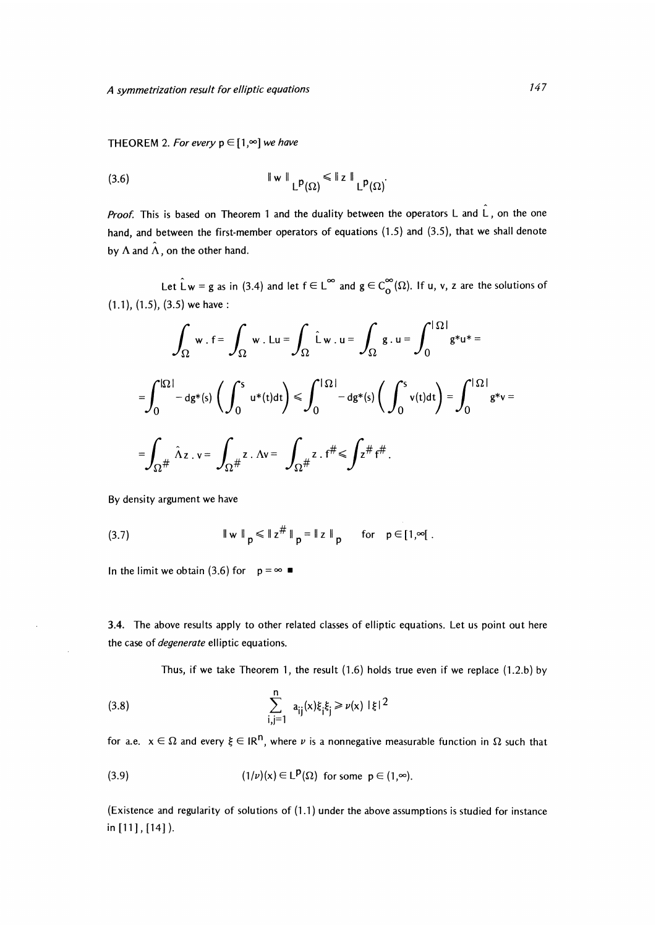THEOREM 2. For every  $p \in [1, \infty]$  we have

(3.6) 
$$
\|\mathbf{w}\|_{\mathsf{L}^{p}(\Omega)} \leq \|z\|_{\mathsf{L}^{p}(\Omega)}.
$$

*Proof.* This is based on Theorem 1 and the duality between the operators L and  $\hat{L}$ , on the one hand, and between the first-member operators of equations (1.5) and (3.5), that we shall denote by  $\Lambda$  and  $\hat{\Lambda}$ , on the other hand.

Let Lw = g as in (3.4) and let  $f \in L^{\infty}$  and  $g \in C^{\infty}_0(\Omega)$ . If u, v, z are the solutions of (1.1), (1.5), (3.5) we have :

$$
\int_{\Omega} w \cdot f = \int_{\Omega} w \cdot Lu = \int_{\Omega} \hat{L}w \cdot u = \int_{\Omega} g \cdot u = \int_{0}^{|\Omega|} g^*u^* =
$$

$$
= \int_{0}^{|\Omega|} -dg^*(s) \left( \int_{0}^{s} u^*(t)dt \right) \le \int_{0}^{|\Omega|} -dg^*(s) \left( \int_{0}^{s} v(t)dt \right) = \int_{0}^{|\Omega|} g^*v =
$$

$$
= \int_{\Omega^{\#}} \hat{\Lambda}z \cdot v = \int_{\Omega^{\#}} z \cdot \Lambda v = \int_{\Omega^{\#}} z \cdot f^{\#} \le \int z^{\#} f^{\#}.
$$

By density argument we have

(3.7) 
$$
\|w\|_{p} \leq \|z^{\#}\|_{p} = \|z\|_{p} \quad \text{for} \quad p \in [1, \infty[
$$

In the limit we obtain (3.6) for  $p = \infty$ 

3.4. The above results apply to other related classes of elliptic equations. Let us point out here the case of *degenerate* elliptic equations.

Thus, if we take Theorem 1, the result (1.6) holds true even if we replace (1.2.b) by

(3.8) 
$$
\sum_{i,j=1}^{n} a_{ij}(x)\xi_{i}\xi_{j} \geq \nu(x) |\xi|^{2}
$$

for a.e.  $x \in \Omega$  and every  $\xi \in \mathbb{R}^n$ , where v is a nonnegative measurable function in  $\Omega$  such that

(3.9) 
$$
(1/\nu)(x) \in L^{p}(\Omega) \text{ for some } p \in (1,\infty).
$$

(Existence and regularity of solutions of (1.1) under the above assumptions is studied for instance in  $[11]$ ,  $[14]$ ).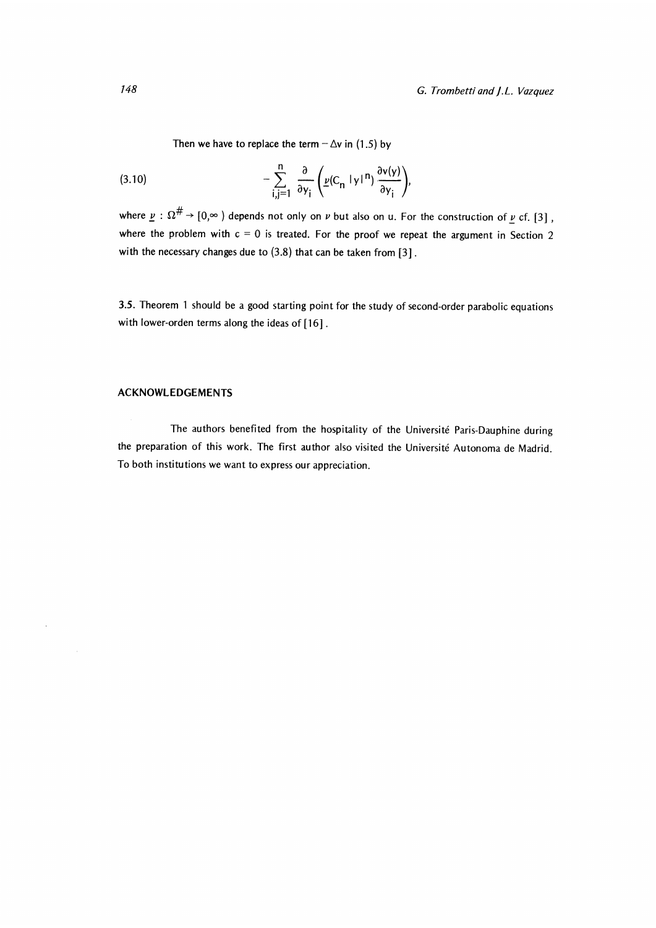Then we have to replace the term  $-\Delta v$  in (1.5) by

(3.10) 
$$
- \sum_{i,j=1}^{n} \frac{\partial}{\partial y_{i}} \left( \underline{\nu}(C_{n} |y|^{n}) \frac{\partial v(y)}{\partial y_{i}} \right),
$$

where  $\underline{v} : \Omega^{\#} \to [0,\infty)$  depends not only on  $\nu$  but also on u. For the construction of  $\underline{v}$  cf. [3], where the problem with  $c = 0$  is treated. For the proof we repeat the argument in Section 2 with the necessary changes due to  $(3.8)$  that can be taken from  $[3]$ .

3.5. Theorem 1 should be a good starting point for the study of second-order parabolic equations with lower-orden terms along the ideas of [16].

#### ACKNOWLEDGEMENTS

 $\bar{z}$ 

 $\mathcal{A}$ 

The authors benefited from the hospitality of the Université Paris-Dauphine during the preparation of this work. The first author also visited the Université Autonoma de Madrid. To both institutions we want to express our appreciation.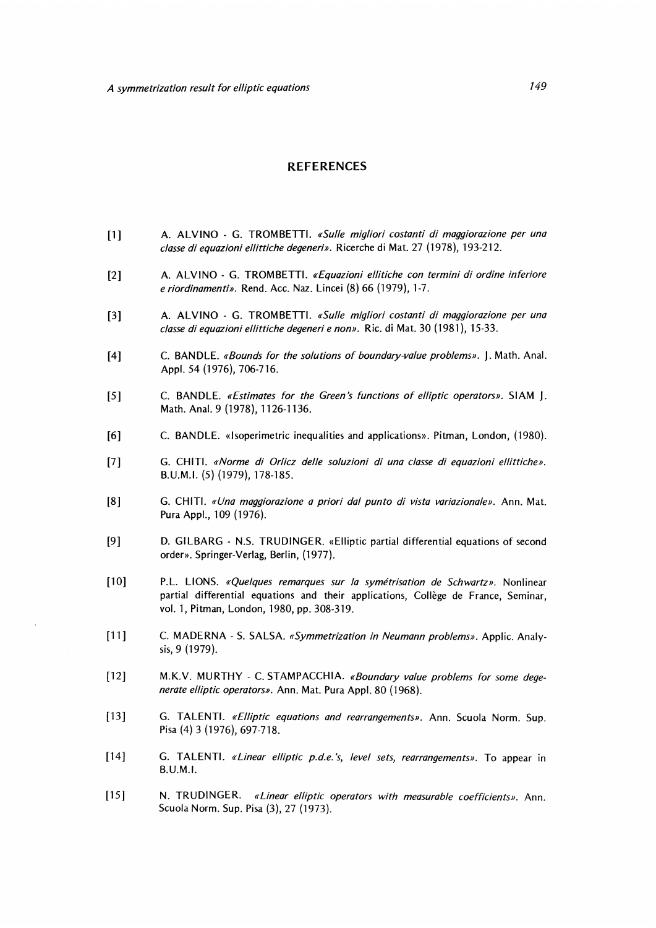#### REFERENCES

- [1] A. ALVINO G. TROMBETTI. «Sulle migliori costanti di maggiorazione per una classe di equazioni ellittiche degeneri». Ricerche di Mat. 27 (1978), 193-212.
- [2] A. ALVINO G. TROMBETTI. «Equazioni ellitiche con termini di ordine inferiore e riordinamenti». Rend. Acc. Naz. Lincei (8) 66 (1979), 1-7.
- [3] A. ALVINO G. TROMBETTI. «Sulle migliori costanti di maggiorazione per una classe di equazioni ellittiche degeneri e non». Ric. di Mat. 30 (1981), 15-33.
- [4] C. BANDLE. «Bounds for the solutions of boundary-value problems». J. Math. Anal. Appl. 54 (1976), 706-716.
- [5] C. BANDLE. «Estimates for the Green's functions of elliptic operators». SIAM J. Math. Anal. 9 (1978), 1126-1136.
- [6] C. BANDLE. «Isoperimetric inequalities and applications». Pitman, London, (1980).
- [7] G. CHITI. «Norme di Orlicz delle soluzioni di una classe di equazioni ellittiche». B.U.M.I. (5) (1979), 178-185.
- [8] G. CHITI. «Una maggiorazione a priori dal punto di vista variazionale». Ann. Mat. Pura Appl., 109 (1976).
- [9] D. GILBARG N.S. TRUDINGER. «Elliptic partial differential equations of second order». Springer-Verlag, Berlin, (1977).
- [10] P.L. LIONS. «Quelques remarques sur la symétrisation de Schwartz». Nonlinear partial differential equations and their applications, Collège de France, Seminar, vol. 1, Pitman, London, 1980, pp. 308-319.
- [11] C. MADERNA S. SALSA. «Symmetrization in Neumann problems». Applic. Analysis, 9 (1979).
- [12] M.K.V. MURTHY C. STAMPACCHIA. «Boundary value problems for some dege nerate elliptic operators». Ann. Mat. Pura Appl. 80 (1968).
- [13] G. TALENTI. «Elliptic equations and rearrangements». Ann. Scuola Norm. Sup. Pisa (4) 3 (1976), 697-718.
- [14] G. TALENTI. «Linear elliptic p.d.e.'s, level sets, rearrangements». To appear in B.U.M.I.
- [15] N. TRUDINGER. «Linear elliptic operators with measurable coefficients». Ann. Scuola Norm. Sup. Pisa (3), 27 (1973).